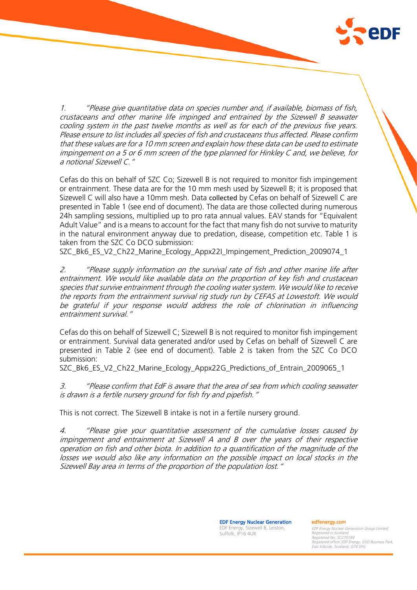

1. "Please give quantitative data on species number and, if available, biomass of fish, crustaceans and other marine life impinged and entrained by the Sizewell B seawater cooling system in the past twelve months as well as for each of the previous five years. Please ensure to list includes all species of fish and crustaceans thus affected. Please confirm that these values are for a 10 mm screen and explain how these data can be used to estimate impingement on a 5 or 6 mm screen of the type planned for Hinkley C and, we believe, for a notional Sizewell C."

Cefas do this on behalf of SZC Co; Sizewell B is not required to monitor fish impingement or entrainment. These data are for the 10 mm mesh used by Sizewell B; it is proposed that Sizewell C will also have a 10mm mesh. Data collected by Cefas on behalf of Sizewell C are presented in Table 1 (see end of document). The data are those collected during numerous 24h sampling sessions, multiplied up to pro rata annual values. EAV stands for "Equivalent Adult Value" and is a means to account for the fact that many fish do not survive to maturity in the natural environment anyway due to predation, disease, competition etc. Table 1 is taken from the SZC Co DCO submission:

SZC\_Bk6\_ES\_V2\_Ch22\_Marine\_Ecology\_Appx22I\_Impingement\_Prediction\_2009074\_1

2. "Please supply information on the survival rate of fish and other marine life after entrainment. We would like available data on the proportion of key fish and crustacean species that survive entrainment through the cooling water system. We would like to receive the reports from the entrainment survival rig study run by CEFAS at Lowestoft. We would be grateful if your response would address the role of chlorination in influencing entrainment survival."

Cefas do this on behalf of Sizewell C; Sizewell B is not required to monitor fish impingement or entrainment. Survival data generated and/or used by Cefas on behalf of Sizewell C are presented in Table 2 (see end of document). Table 2 is taken from the SZC Co DCO submission:

SZC\_Bk6\_ES\_V2\_Ch22\_Marine\_Ecology\_Appx22G\_Predictions\_of\_Entrain\_2009065\_1

3. "Please confirm that EdF is aware that the area of sea from which cooling seawater is drawn is a fertile nursery ground for fish fry and pipefish."

This is not correct. The Sizewell B intake is not in a fertile nursery ground.

4. "Please give your quantitative assessment of the cumulative losses caused by impingement and entrainment at Sizewell A and B over the years of their respective operation on fish and other biota. In addition to a quantification of the magnitude of the losses we would also like any information on the possible impact on local stocks in the Sizewell Bay area in terms of the proportion of the population lost."

> EDF Energy Nuclear Generation EDF Energy, Sizewell B, Leiston, Suffolk, IP16 4UR

edfenergy.com

EDF Energy Nuclear Generation Group Limited Registered in Scotland Registered No. SC270184 Registered office: EDF Energy, GSO Business Park, East Kilbride, Scotland, G74 5PG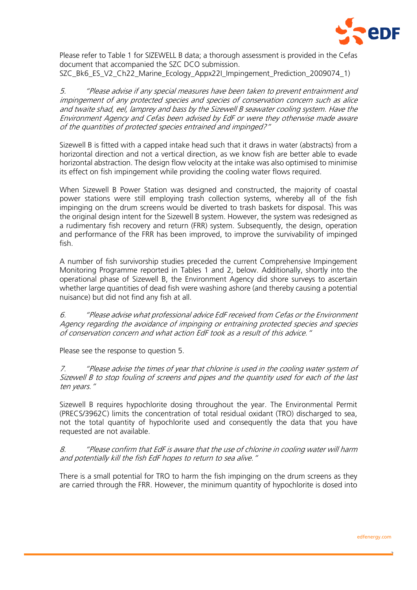

Please refer to Table 1 for SIZEWELL B data; a thorough assessment is provided in the Cefas document that accompanied the SZC DCO submission. SZC\_Bk6\_ES\_V2\_Ch22\_Marine\_Ecology\_Appx22I\_Impingement\_Prediction\_2009074\_1)

5. "Please advise if any special measures have been taken to prevent entrainment and impingement of any protected species and species of conservation concern such as alice and twaite shad, eel, lamprey and bass by the Sizewell B seawater cooling system. Have the Environment Agency and Cefas been advised by EdF or were they otherwise made aware of the quantities of protected species entrained and impinged?"

Sizewell B is fitted with a capped intake head such that it draws in water (abstracts) from a horizontal direction and not a vertical direction, as we know fish are better able to evade horizontal abstraction. The design flow velocity at the intake was also optimised to minimise its effect on fish impingement while providing the cooling water flows required.

When Sizewell B Power Station was designed and constructed, the majority of coastal power stations were still employing trash collection systems, whereby all of the fish impinging on the drum screens would be diverted to trash baskets for disposal. This was the original design intent for the Sizewell B system. However, the system was redesigned as a rudimentary fish recovery and return (FRR) system. Subsequently, the design, operation and performance of the FRR has been improved, to improve the survivability of impinged fish.

A number of fish survivorship studies preceded the current Comprehensive Impingement Monitoring Programme reported in Tables 1 and 2, below. Additionally, shortly into the operational phase of Sizewell B, the Environment Agency did shore surveys to ascertain whether large quantities of dead fish were washing ashore (and thereby causing a potential nuisance) but did not find any fish at all.

6. "Please advise what professional advice EdF received from Cefas or the Environment Agency regarding the avoidance of impinging or entraining protected species and species of conservation concern and what action EdF took as a result of this advice."

Please see the response to question 5.

7. "Please advise the times of year that chlorine is used in the cooling water system of Sizewell B to stop fouling of screens and pipes and the quantity used for each of the last ten years."

Sizewell B requires hypochlorite dosing throughout the year. The Environmental Permit (PRECS/3962C) limits the concentration of total residual oxidant (TRO) discharged to sea, not the total quantity of hypochlorite used and consequently the data that you have requested are not available.

8. "Please confirm that EdF is aware that the use of chlorine in cooling water will harm and potentially kill the fish EdF hopes to return to sea alive."

There is a small potential for TRO to harm the fish impinging on the drum screens as they are carried through the FRR. However, the minimum quantity of hypochlorite is dosed into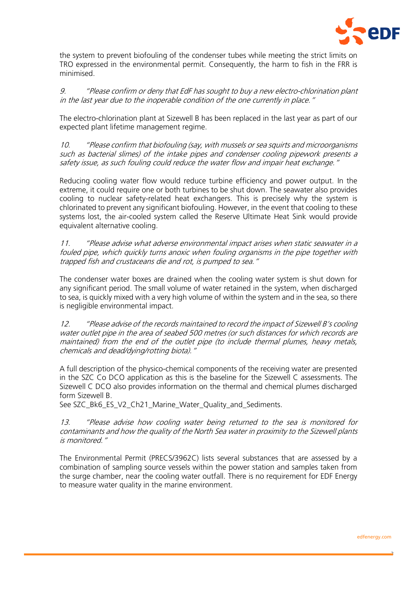

the system to prevent biofouling of the condenser tubes while meeting the strict limits on TRO expressed in the environmental permit. Consequently, the harm to fish in the FRR is minimised.

9. "Please confirm or deny that EdF has sought to buy a new electro-chlorination plant in the last year due to the inoperable condition of the one currently in place.

The electro-chlorination plant at Sizewell B has been replaced in the last year as part of our expected plant lifetime management regime.

10. "Please confirm that biofouling (say, with mussels or sea squirts and microorganisms such as bacterial slimes) of the intake pipes and condenser cooling pipework presents a safety issue, as such fouling could reduce the water flow and impair heat exchange."

Reducing cooling water flow would reduce turbine efficiency and power output. In the extreme, it could require one or both turbines to be shut down. The seawater also provides cooling to nuclear safety-related heat exchangers. This is precisely why the system is chlorinated to prevent any significant biofouling. However, in the event that cooling to these systems lost, the air-cooled system called the Reserve Ultimate Heat Sink would provide equivalent alternative cooling.

11. "Please advise what adverse environmental impact arises when static seawater in a fouled pipe, which quickly turns anoxic when fouling organisms in the pipe together with trapped fish and crustaceans die and rot, is pumped to sea."

The condenser water boxes are drained when the cooling water system is shut down for any significant period. The small volume of water retained in the system, when discharged to sea, is quickly mixed with a very high volume of within the system and in the sea, so there is negligible environmental impact.

12. "Please advise of the records maintained to record the impact of Sizewell B's cooling water outlet pipe in the area of seabed 500 metres (or such distances for which records are maintained) from the end of the outlet pipe (to include thermal plumes, heavy metals, chemicals and dead/dying/rotting biota)."

A full description of the physico-chemical components of the receiving water are presented in the SZC Co DCO application as this is the baseline for the Sizewell C assessments. The Sizewell C DCO also provides information on the thermal and chemical plumes discharged form Sizewell B.

See SZC\_Bk6\_ES\_V2\_Ch21\_Marine\_Water\_Quality\_and\_Sediments.

13. "Please advise how cooling water being returned to the sea is monitored for contaminants and how the quality of the North Sea water in proximity to the Sizewell plants is monitored."

The Environmental Permit (PRECS/3962C) lists several substances that are assessed by a combination of sampling source vessels within the power station and samples taken from the surge chamber, near the cooling water outfall. There is no requirement for EDF Energy to measure water quality in the marine environment.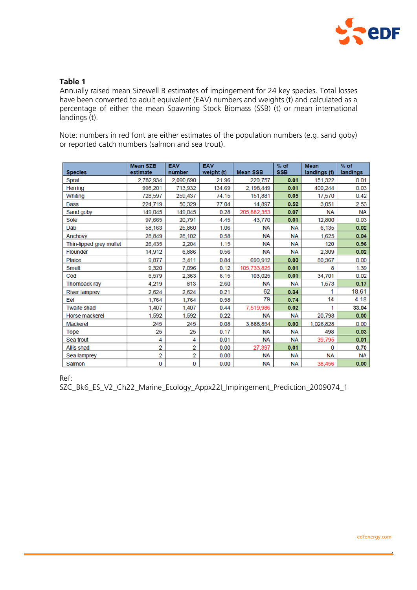

## **Table 1**

Annually raised mean Sizewell B estimates of impingement for 24 key species. Total losses have been converted to adult equivalent (EAV) numbers and weights (t) and calculated as a percentage of either the mean Spawning Stock Biomass (SSB) (t) or mean international landings (t).

Note: numbers in red font are either estimates of the population numbers (e.g. sand goby) or reported catch numbers (salmon and sea trout).

| <b>Species</b>          | <b>Mean SZB</b><br>estimate | <b>EAV</b><br>number    | <b>EAV</b><br>weight (t) | <b>Mean SSB</b> | $%$ of<br><b>SSB</b> | <b>Mean</b><br>landings (t) | $%$ of<br>landings |
|-------------------------|-----------------------------|-------------------------|--------------------------|-----------------|----------------------|-----------------------------|--------------------|
| Sprat                   | 2,782,934                   | 2,090,690               | 21.96                    | 220,757         | 0.01                 | 151,322                     | 0.01               |
| <b>Herring</b>          | 998,201                     | 713,932                 | 134.69                   | 2,198,449       | 0.01                 | 400,244                     | 0.03               |
| Whiting                 | 728,597                     | 259,437                 | 74.15                    | 151,881         | 0.05                 | 17,570                      | 0.42               |
| <b>Bass</b>             | 224,719                     | 50,329                  | 77.04                    | 14,897          | 0.52                 | 3,051                       | 2.53               |
| Sand goby               | 149,045                     | 149,045                 | 0.28                     | 205,882,353     | 0.07                 | <b>NA</b>                   | <b>NA</b>          |
| Sole                    | 97,665                      | 20,791                  | 4.45                     | 43,770          | 0.01                 | 12,800                      | 0.03               |
| Dab                     | 58,163                      | 25,860                  | 1.06                     | <b>NA</b>       | <b>NA</b>            | 6.135                       | 0.02               |
| Anchovy                 | 28,849                      | 28,102                  | 0.58                     | <b>NA</b>       | <b>NA</b>            | 1,625                       | 0.04               |
| Thin-lipped grey mullet | 26,435                      | 2.204                   | 1.15                     | <b>NA</b>       | <b>NA</b>            | 120                         | 0.96               |
| <b>Flounder</b>         | 14,912                      | 6,886                   | 0.56                     | <b>NA</b>       | <b>NA</b>            | 2,309                       | 0.02               |
| <b>Plaice</b>           | 9,877                       | 3,411                   | 0.84                     | 690,912         | 0.00                 | 80,367                      | 0.00               |
| <b>Smelt</b>            | 9,320                       | 7.096                   | 0.12                     | 105.733.825     | 0.01                 | 8                           | 1.39               |
| Cod                     | 6,579                       | 2.363                   | 6.15                     | 103,025         | 0.01                 | 34,701                      | 0.02               |
| <b>Thornback ray</b>    | 4.219                       | 813                     | 2.60                     | <b>NA</b>       | <b>NA</b>            | 1,573                       | 0.17               |
| <b>River lamprey</b>    | 2,624                       | 2,624                   | 0.21                     | 62              | 0.34                 | 1                           | 18.61              |
| Eel                     | 1,764                       | 1,764                   | 0.58                     | 79              | 0.74                 | 14                          | 4.18               |
| <b>Twaite shad</b>      | 1,407                       | 1,407                   | 0.44                     | 7,519,986       | 0.02                 | 1                           | 33.04              |
| <b>Horse mackerel</b>   | 1,592                       | 1,592                   | 0.22                     | <b>NA</b>       | <b>NA</b>            | 20,798                      | 0.00               |
| <b>Mackerel</b>         | 245                         | 245                     | 0.08                     | 3,888,854       | 0.00                 | 1,026,828                   | 0.00               |
| Tope                    | 25                          | 25                      | 0.17                     | <b>NA</b>       | <b>NA</b>            | 498                         | 0.03               |
| Sea trout               | 4                           | 4                       | 0.01                     | <b>NA</b>       | <b>NA</b>            | 39,795                      | 0.01               |
| Allis shad              | 2                           | 2                       | 0.00                     | 27,397          | 0.01                 | 0                           | 0.70               |
| Sea lamprey             | 2                           | $\overline{\mathbf{2}}$ | 0.00                     | <b>NA</b>       | <b>NA</b>            | <b>NA</b>                   | <b>NA</b>          |
| Salmon                  | 0                           | 0                       | 0.00                     | <b>NA</b>       | <b>NA</b>            | 38,456                      | 0.00               |

Ref:

SZC\_Bk6\_ES\_V2\_Ch22\_Marine\_Ecology\_Appx22I\_Impingement\_Prediction\_2009074\_1